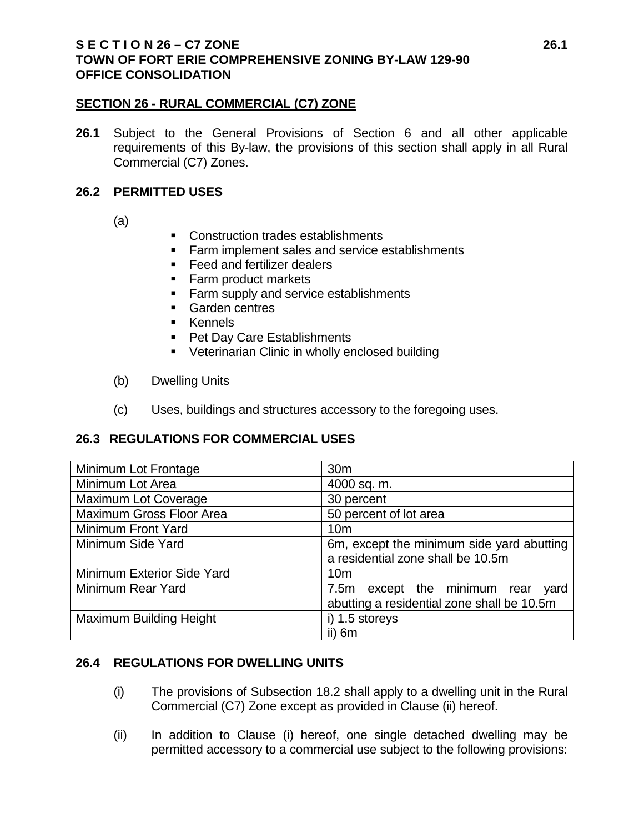## **SECTION 26 - RURAL COMMERCIAL (C7) ZONE**

**26.1** Subject to the General Provisions of Section 6 and all other applicable requirements of this By-law, the provisions of this section shall apply in all Rural Commercial (C7) Zones.

## **26.2 PERMITTED USES**

- (a)
- **Construction trades establishments**
- **Farm implement sales and service establishments**
- **Feed and fertilizer dealers**
- Farm product markets
- **Farm supply and service establishments**
- Garden centres
- **EXEMPLE**
- **Pet Day Care Establishments**
- **Veterinarian Clinic in wholly enclosed building**
- (b) Dwelling Units
- (c) Uses, buildings and structures accessory to the foregoing uses.

# **26.3 REGULATIONS FOR COMMERCIAL USES**

| Minimum Lot Frontage        | 30 <sub>m</sub>                            |
|-----------------------------|--------------------------------------------|
| Minimum Lot Area            | 4000 sq. m.                                |
| <b>Maximum Lot Coverage</b> | 30 percent                                 |
| Maximum Gross Floor Area    | 50 percent of lot area                     |
| Minimum Front Yard          | 10 <sub>m</sub>                            |
| Minimum Side Yard           | 6m, except the minimum side yard abutting  |
|                             | a residential zone shall be 10.5m          |
| Minimum Exterior Side Yard  | 10 <sub>m</sub>                            |
| Minimum Rear Yard           | 7.5m except the minimum rear<br>yard       |
|                             | abutting a residential zone shall be 10.5m |
| Maximum Building Height     | i) 1.5 storeys                             |
|                             | ii) 6m                                     |

# **26.4 REGULATIONS FOR DWELLING UNITS**

- (i) The provisions of Subsection 18.2 shall apply to a dwelling unit in the Rural Commercial (C7) Zone except as provided in Clause (ii) hereof.
- (ii) In addition to Clause (i) hereof, one single detached dwelling may be permitted accessory to a commercial use subject to the following provisions: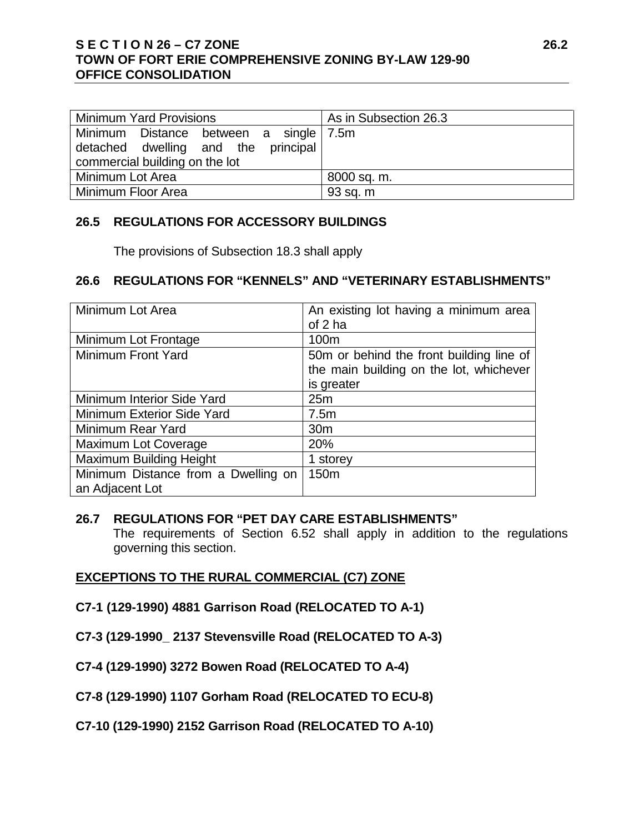## **S E C T I O N 26 – C7 ZONE 26.2 TOWN OF FORT ERIE COMPREHENSIVE ZONING BY-LAW 129-90 OFFICE CONSOLIDATION**

| <b>Minimum Yard Provisions</b>         | As in Subsection 26.3 |
|----------------------------------------|-----------------------|
| Minimum Distance between a single 7.5m |                       |
| detached dwelling and the principal    |                       |
| commercial building on the lot         |                       |
| Minimum Lot Area                       | 8000 sq. m.           |
| Minimum Floor Area                     | 93 sq. m              |

## **26.5 REGULATIONS FOR ACCESSORY BUILDINGS**

The provisions of Subsection 18.3 shall apply

### **26.6 REGULATIONS FOR "KENNELS" AND "VETERINARY ESTABLISHMENTS"**

| Minimum Lot Area                    | An existing lot having a minimum area    |
|-------------------------------------|------------------------------------------|
|                                     | of $2$ ha                                |
| Minimum Lot Frontage                | 100 <sub>m</sub>                         |
| <b>Minimum Front Yard</b>           | 50m or behind the front building line of |
|                                     | the main building on the lot, whichever  |
|                                     | is greater                               |
| Minimum Interior Side Yard          | 25m                                      |
| Minimum Exterior Side Yard          | 7.5m                                     |
| Minimum Rear Yard                   | 30 <sub>m</sub>                          |
| Maximum Lot Coverage                | 20%                                      |
| <b>Maximum Building Height</b>      | 1 storey                                 |
| Minimum Distance from a Dwelling on | 150 <sub>m</sub>                         |
| an Adjacent Lot                     |                                          |

### **26.7 REGULATIONS FOR "PET DAY CARE ESTABLISHMENTS"**

 The requirements of Section 6.52 shall apply in addition to the regulations governing this section.

# **EXCEPTIONS TO THE RURAL COMMERCIAL (C7) ZONE**

- **C7-1 (129-1990) 4881 Garrison Road (RELOCATED TO A-1)**
- **C7-3 (129-1990\_ 2137 Stevensville Road (RELOCATED TO A-3)**
- **C7-4 (129-1990) 3272 Bowen Road (RELOCATED TO A-4)**
- **C7-8 (129-1990) 1107 Gorham Road (RELOCATED TO ECU-8)**
- **C7-10 (129-1990) 2152 Garrison Road (RELOCATED TO A-10)**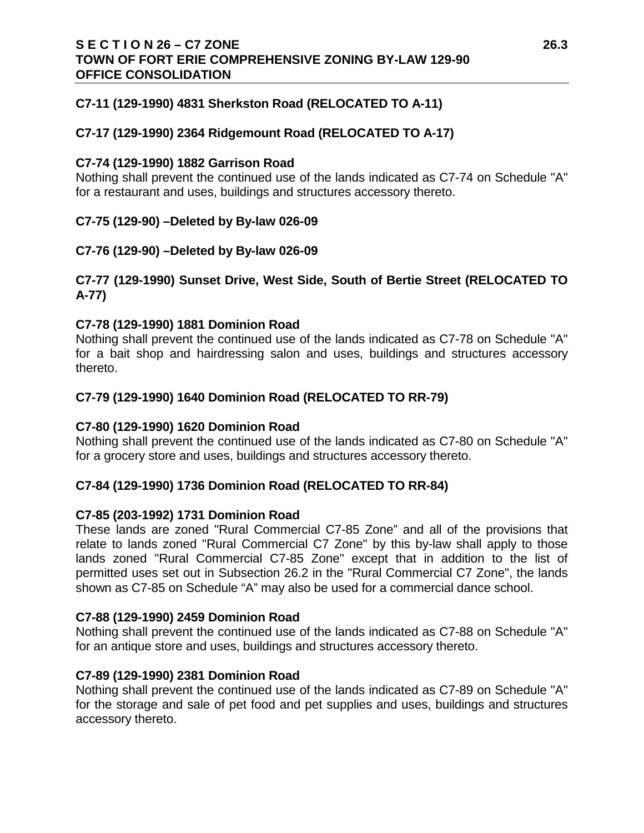### **S E C T I O N 26 – C7 ZONE 26.3 TOWN OF FORT ERIE COMPREHENSIVE ZONING BY-LAW 129-90 OFFICE CONSOLIDATION**

### **C7-11 (129-1990) 4831 Sherkston Road (RELOCATED TO A-11)**

### **C7-17 (129-1990) 2364 Ridgemount Road (RELOCATED TO A-17)**

#### **C7-74 (129-1990) 1882 Garrison Road**

Nothing shall prevent the continued use of the lands indicated as C7-74 on Schedule "A" for a restaurant and uses, buildings and structures accessory thereto.

### **C7-75 (129-90) –Deleted by By-law 026-09**

### **C7-76 (129-90) –Deleted by By-law 026-09**

### **C7-77 (129-1990) Sunset Drive, West Side, South of Bertie Street (RELOCATED TO A-77)**

### **C7-78 (129-1990) 1881 Dominion Road**

Nothing shall prevent the continued use of the lands indicated as C7-78 on Schedule "A" for a bait shop and hairdressing salon and uses, buildings and structures accessory thereto.

### **C7-79 (129-1990) 1640 Dominion Road (RELOCATED TO RR-79)**

#### **C7-80 (129-1990) 1620 Dominion Road**

Nothing shall prevent the continued use of the lands indicated as C7-80 on Schedule "A" for a grocery store and uses, buildings and structures accessory thereto.

#### **C7-84 (129-1990) 1736 Dominion Road (RELOCATED TO RR-84)**

#### **C7-85 (203-1992) 1731 Dominion Road**

These lands are zoned "Rural Commercial C7-85 Zone" and all of the provisions that relate to lands zoned "Rural Commercial C7 Zone" by this by-law shall apply to those lands zoned "Rural Commercial C7-85 Zone" except that in addition to the list of permitted uses set out in Subsection 26.2 in the "Rural Commercial C7 Zone", the lands shown as C7-85 on Schedule "A" may also be used for a commercial dance school.

#### **C7-88 (129-1990) 2459 Dominion Road**

Nothing shall prevent the continued use of the lands indicated as C7-88 on Schedule "A" for an antique store and uses, buildings and structures accessory thereto.

#### **C7-89 (129-1990) 2381 Dominion Road**

Nothing shall prevent the continued use of the lands indicated as C7-89 on Schedule "A" for the storage and sale of pet food and pet supplies and uses, buildings and structures accessory thereto.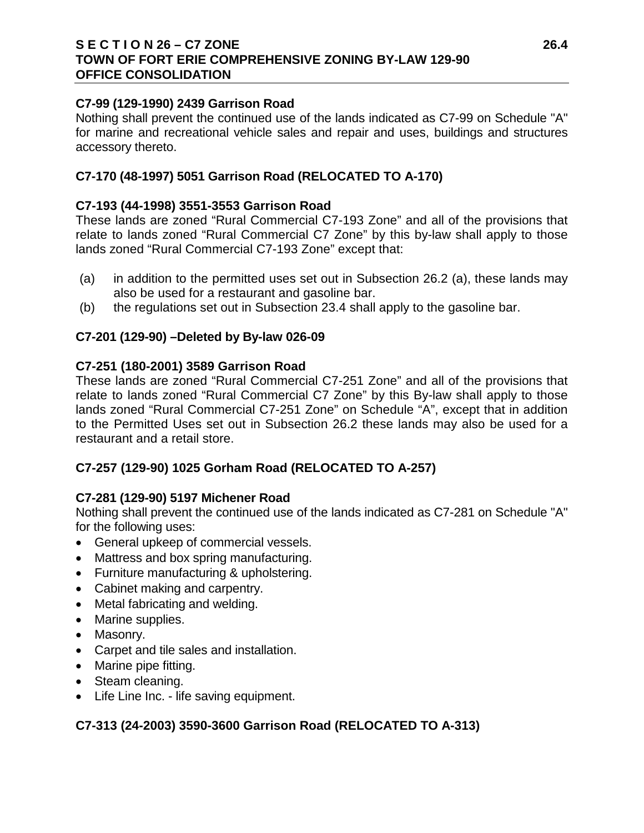### **S E C T I O N 26 – C7 ZONE 26.4 TOWN OF FORT ERIE COMPREHENSIVE ZONING BY-LAW 129-90 OFFICE CONSOLIDATION**

### **C7-99 (129-1990) 2439 Garrison Road**

Nothing shall prevent the continued use of the lands indicated as C7-99 on Schedule "A" for marine and recreational vehicle sales and repair and uses, buildings and structures accessory thereto.

### **C7-170 (48-1997) 5051 Garrison Road (RELOCATED TO A-170)**

### **C7-193 (44-1998) 3551-3553 Garrison Road**

These lands are zoned "Rural Commercial C7-193 Zone" and all of the provisions that relate to lands zoned "Rural Commercial C7 Zone" by this by-law shall apply to those lands zoned "Rural Commercial C7-193 Zone" except that:

- (a) in addition to the permitted uses set out in Subsection 26.2 (a), these lands may also be used for a restaurant and gasoline bar.
- (b) the regulations set out in Subsection 23.4 shall apply to the gasoline bar.

### **C7-201 (129-90) –Deleted by By-law 026-09**

### **C7-251 (180-2001) 3589 Garrison Road**

These lands are zoned "Rural Commercial C7-251 Zone" and all of the provisions that relate to lands zoned "Rural Commercial C7 Zone" by this By-law shall apply to those lands zoned "Rural Commercial C7-251 Zone" on Schedule "A", except that in addition to the Permitted Uses set out in Subsection 26.2 these lands may also be used for a restaurant and a retail store.

# **C7-257 (129-90) 1025 Gorham Road (RELOCATED TO A-257)**

### **C7-281 (129-90) 5197 Michener Road**

Nothing shall prevent the continued use of the lands indicated as C7-281 on Schedule "A" for the following uses:

- General upkeep of commercial vessels.
- Mattress and box spring manufacturing.
- Furniture manufacturing & upholstering.
- Cabinet making and carpentry.
- Metal fabricating and welding.
- Marine supplies.
- Masonry.
- Carpet and tile sales and installation.
- Marine pipe fitting.
- Steam cleaning.
- Life Line Inc. life saving equipment.

# **C7-313 (24-2003) 3590-3600 Garrison Road (RELOCATED TO A-313)**